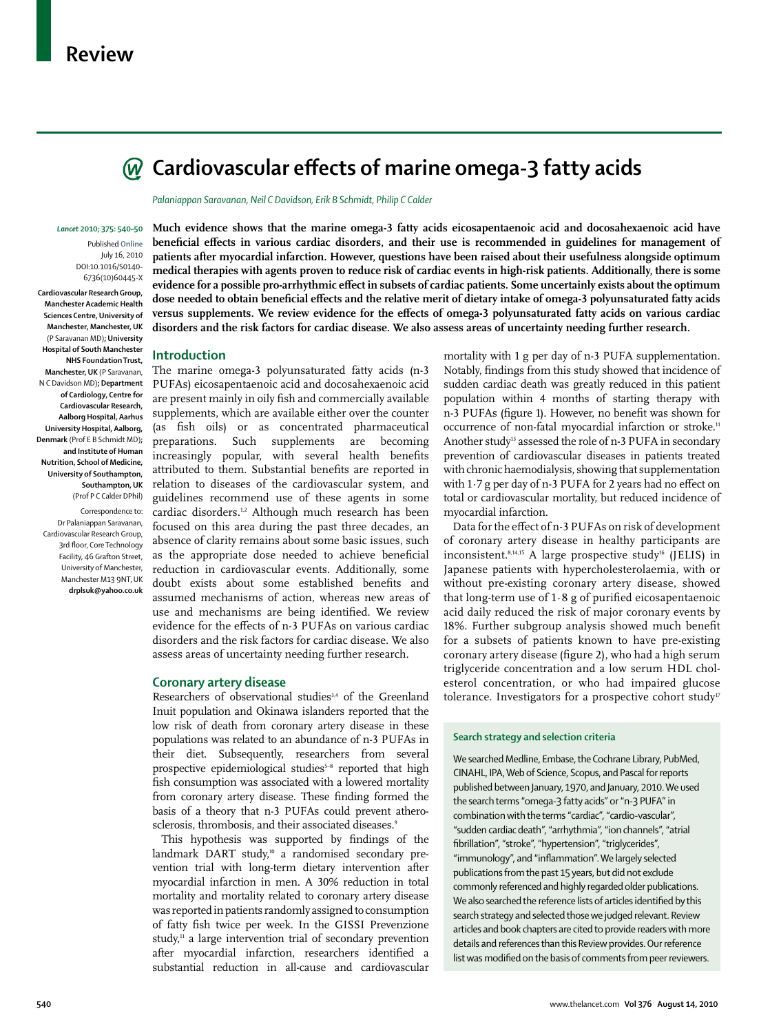

*Palaniappan Saravanan, Neil C Davidson, Erik B Schmidt, Philip C Calder*

#### *Lancet* **2010; 375: 540–50**

Published **Online** July 16, 2010 DOI:10.1016/S0140- 6736(10)60445-X

**Cardiovascular Research Group, Manchester Academic Health Sciences Centre, University of Manchester, Manchester, UK**  (P Saravanan MD)**; University Hospital of South Manchester NHS Foundation Trust, Manchester, UK** (P Saravanan, N C Davidson MD)**; Department of Cardiology, Centre for Cardiovascular Research, Aalborg Hospital, Aarhus University Hospital, Aalborg, Denmark** (Prof E B Schmidt MD)**; and Institute of Human Nutrition, School of Medicine, University of Southampton, Southampton, UK**  (Prof P C Calder DPhil)

Correspondence to: Dr Palaniappan Saravanan, Cardiovascular Research Group, 3rd floor, Core Technology Facility, 46 Grafton Street, University of Manchester, Manchester M13 9NT, UK **drplsuk@yahoo.co.uk** **Much evidence shows that the marine omega-3 fatty acids eicosapentaenoic acid and docosahexaenoic acid have**  beneficial effects in various cardiac disorders, and their use is recommended in guidelines for management of **patients after myocardial infarction. However, questions have been raised about their usefulness alongside optimum medical therapies with agents proven to reduce risk of cardiac events in high-risk patients. Additionally, there is some**  evidence for a possible pro-arrhythmic effect in subsets of cardiac patients. Some uncertainly exists about the optimum dose needed to obtain beneficial effects and the relative merit of dietary intake of omega-3 polyunsaturated fatty acids versus supplements. We review evidence for the effects of omega-3 polyunsaturated fatty acids on various cardiac **disorders and the risk factors for cardiac disease. We also assess areas of uncertainty needing further research.**

### **Introduction**

The marine omega-3 polyunsaturated fatty acids (n-3 PUFAs) eicosapentaenoic acid and docosahexaenoic acid are present mainly in oily fish and commercially available supplements, which are available either over the counter (as fish oils) or as concentrated pharmaceutical preparations. Such supplements are becoming increasingly popular, with several health benefits attributed to them. Substantial benefits are reported in relation to diseases of the cardiovascular system, and guidelines recommend use of these agents in some cardiac disorders.<sup>1,2</sup> Although much research has been focused on this area during the past three decades, an absence of clarity remains about some basic issues, such as the appropriate dose needed to achieve beneficial reduction in cardiovascular events. Additionally, some doubt exists about some established benefits and assumed mechanisms of action, whereas new areas of use and mechanisms are being identified. We review evidence for the effects of n-3 PUFAs on various cardiac disorders and the risk factors for cardiac disease. We also assess areas of uncertainty needing further research.

## **Coronary artery disease**

Researchers of observational studies<sup>3,4</sup> of the Greenland Inuit population and Okinawa islanders reported that the low risk of death from coronary artery disease in these populations was related to an abundance of n-3 PUFAs in their diet. Subsequently, researchers from several prospective epidemiological studies<sup>5-8</sup> reported that high fish consumption was associated with a lowered mortality from coronary artery disease. These finding formed the basis of a theory that n-3 PUFAs could prevent atherosclerosis, thrombosis, and their associated diseases.9

This hypothesis was supported by findings of the landmark DART study,<sup>10</sup> a randomised secondary prevention trial with long-term dietary intervention after myocardial infarction in men. A 30% reduction in total mortality and mortality related to coronary artery disease was reported in patients randomly assigned to consumption of fatty fish twice per week. In the GISSI Prevenzione study, $n = 1$  a large intervention trial of secondary prevention after myocardial infarction, researchers identified a substantial reduction in all-cause and cardiovascular

mortality with 1 g per day of n-3 PUFA supplementation. Notably, findings from this study showed that incidence of sudden cardiac death was greatly reduced in this patient population within 4 months of starting therapy with n-3 PUFAs (figure 1). However, no benefit was shown for occurrence of non-fatal myocardial infarction or stroke.<sup>11</sup> Another study<sup>13</sup> assessed the role of n-3 PUFA in secondary prevention of cardiovascular diseases in patients treated with chronic haemodialysis, showing that supplementation with  $1.7$  g per day of n-3 PUFA for 2 years had no effect on total or cardiovascular mortality, but reduced incidence of myocardial infarction.

Data for the effect of n-3 PUFAs on risk of development of coronary artery disease in healthy participants are inconsistent.<sup>8,14,15</sup> A large prospective study<sup>16</sup> (JELIS) in Japanese patients with hypercholesterolaemia, with or without pre-existing coronary artery disease, showed that long-term use of  $1.8$  g of purified eicosapentaenoic acid daily reduced the risk of major coronary events by 18%. Further subgroup analysis showed much benefit for a subsets of patients known to have pre-existing coronary artery disease (figure 2), who had a high serum triglyceride concentration and a low serum HDL cholesterol concentration, or who had impaired glucose tolerance. Investigators for a prospective cohort study<sup>17</sup>

## **Search strategy and selection criteria**

We searched Medline, Embase, the Cochrane Library, PubMed, CINAHL, IPA, Web of Science, Scopus, and Pascal for reports published between January, 1970, and January, 2010. We used the search terms "omega-3 fatty acids" or "n-3 PUFA" in combination with the terms "cardiac", "cardio-vascular", "sudden cardiac death", "arrhythmia", "ion channels", "atrial fibrillation", "stroke", "hypertension", "triglycerides", "immunology", and "inflammation". We largely selected publications from the past 15 years, but did not exclude commonly referenced and highly regarded older publications. We also searched the reference lists of articles identified by this search strategy and selected those we judged relevant. Review articles and book chapters are cited to provide readers with more details and references than this Review provides. Our reference list was modified on the basis of comments from peer reviewers.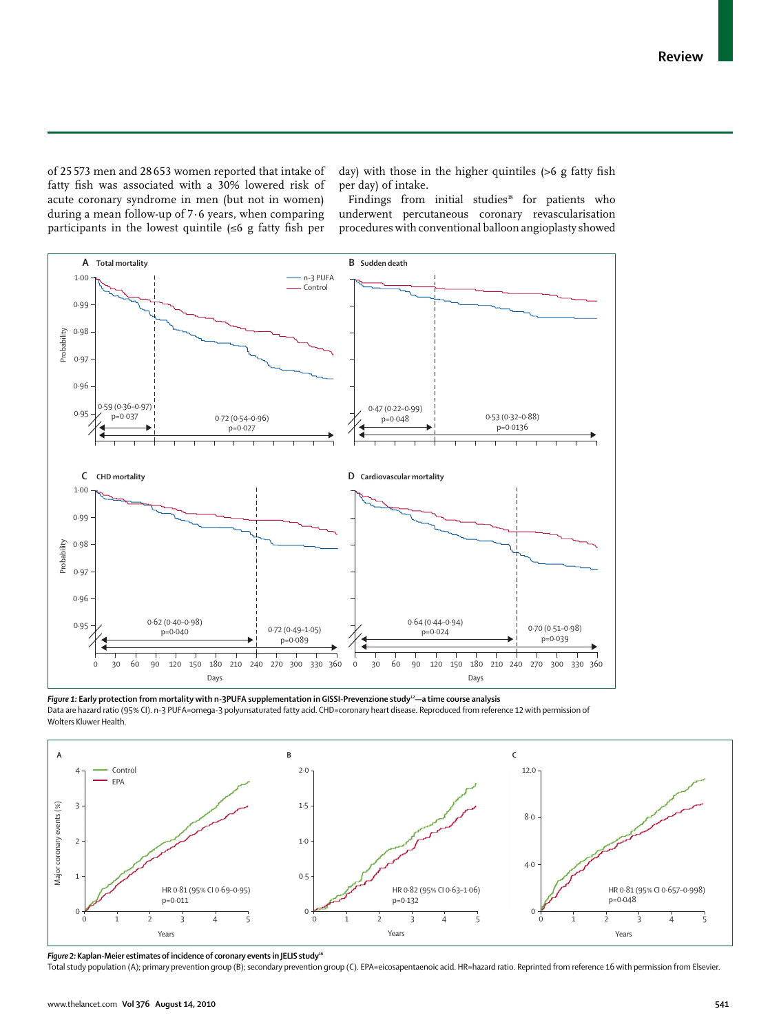of 25 573 men and 28 653 women reported that intake of fatty fish was associated with a 30% lowered risk of acute coronary syndrome in men (but not in women) during a mean follow-up of 7·6 years, when comparing participants in the lowest quintile  $(\leq 6$  g fatty fish per day) with those in the higher quintiles  $(>6$  g fatty fish per day) of intake.

Findings from initial studies<sup>18</sup> for patients who underwent percutaneous coronary revascularisation procedures with conventional balloon angioplasty showed



Figure 1: Early protection from mortality with n-3PUFA supplementation in GISSI-Prevenzione study<sup>12</sup>—a time course analysis Data are hazard ratio (95% CI). n-3 PUFA=omega-3 polyunsaturated fatty acid. CHD=coronary heart disease. Reproduced from reference 12 with permission of



*Figure 2:* **Kaplan-Meier estimates of incidence of coronary events in JELIS study16**

Total study population (A); primary prevention group (B); secondary prevention group (C). EPA=eicosapentaenoic acid. HR=hazard ratio. Reprinted from reference 16 with permission from Elsevier.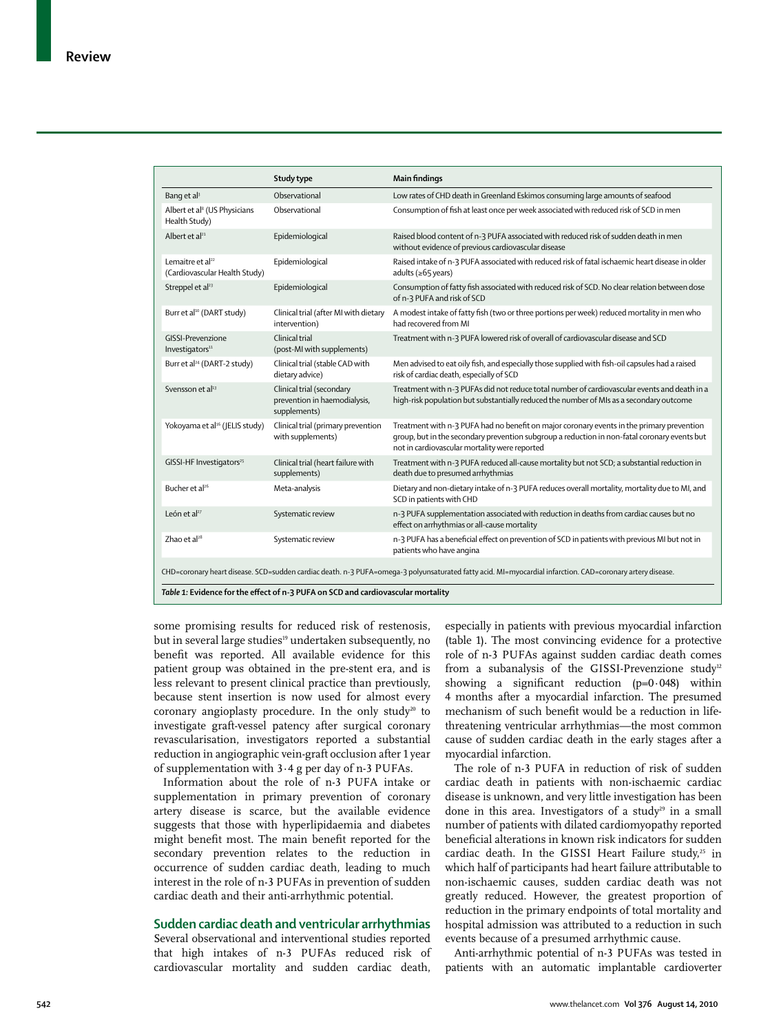|                                                                                                                                                           | Study type                                                                | <b>Main findings</b>                                                                                                                                                                                                                       |  |  |  |  |
|-----------------------------------------------------------------------------------------------------------------------------------------------------------|---------------------------------------------------------------------------|--------------------------------------------------------------------------------------------------------------------------------------------------------------------------------------------------------------------------------------------|--|--|--|--|
| Bang et al <sup>3</sup>                                                                                                                                   | Observational                                                             | Low rates of CHD death in Greenland Eskimos consuming large amounts of seafood                                                                                                                                                             |  |  |  |  |
| Albert et al <sup>8</sup> (US Physicians<br>Health Study)                                                                                                 | Observational                                                             | Consumption of fish at least once per week associated with reduced risk of SCD in men                                                                                                                                                      |  |  |  |  |
| Albert et $a^{21}$                                                                                                                                        | Epidemiological                                                           | Raised blood content of n-3 PUFA associated with reduced risk of sudden death in men<br>without evidence of previous cardiovascular disease                                                                                                |  |  |  |  |
| Lemaitre et al <sup>22</sup><br>(Cardiovascular Health Study)                                                                                             | Epidemiological                                                           | Raised intake of n-3 PUFA associated with reduced risk of fatal ischaemic heart disease in older<br>adults ( $\geq 65$ years)                                                                                                              |  |  |  |  |
| Streppel et al <sup>23</sup>                                                                                                                              | Epidemiological                                                           | Consumption of fatty fish associated with reduced risk of SCD. No clear relation between dose<br>of n-3 PUFA and risk of SCD                                                                                                               |  |  |  |  |
| Burr et al <sup>10</sup> (DART study)                                                                                                                     | Clinical trial (after MI with dietary<br>intervention)                    | A modest intake of fatty fish (two or three portions per week) reduced mortality in men who<br>had recovered from MI                                                                                                                       |  |  |  |  |
| GISSI-Prevenzione<br>Investigators <sup>11</sup>                                                                                                          | Clinical trial<br>(post-MI with supplements)                              | Treatment with n-3 PUFA lowered risk of overall of cardiovascular disease and SCD                                                                                                                                                          |  |  |  |  |
| Burr et al <sup>24</sup> (DART-2 study)                                                                                                                   | Clinical trial (stable CAD with<br>dietary advice)                        | Men advised to eat oily fish, and especially those supplied with fish-oil capsules had a raised<br>risk of cardiac death, especially of SCD                                                                                                |  |  |  |  |
| Svensson et al <sup>13</sup>                                                                                                                              | Clinical trial (secondary<br>prevention in haemodialysis,<br>supplements) | Treatment with n-3 PUFAs did not reduce total number of cardiovascular events and death in a<br>high-risk population but substantially reduced the number of MIs as a secondary outcome                                                    |  |  |  |  |
| Yokoyama et al <sup>16</sup> (JELIS study)                                                                                                                | Clinical trial (primary prevention<br>with supplements)                   | Treatment with n-3 PUFA had no benefit on major coronary events in the primary prevention<br>group, but in the secondary prevention subgroup a reduction in non-fatal coronary events but<br>not in cardiovascular mortality were reported |  |  |  |  |
| GISSI-HF Investigators <sup>25</sup>                                                                                                                      | Clinical trial (heart failure with<br>supplements)                        | Treatment with n-3 PUFA reduced all-cause mortality but not SCD; a substantial reduction in<br>death due to presumed arrhythmias                                                                                                           |  |  |  |  |
| Bucher et al <sup>26</sup>                                                                                                                                | Meta-analysis                                                             | Dietary and non-dietary intake of n-3 PUFA reduces overall mortality, mortality due to MI, and<br>SCD in patients with CHD                                                                                                                 |  |  |  |  |
| León et al <sup>27</sup>                                                                                                                                  | Systematic review                                                         | n-3 PUFA supplementation associated with reduction in deaths from cardiac causes but no<br>effect on arrhythmias or all-cause mortality                                                                                                    |  |  |  |  |
| Zhao et al <sup>28</sup>                                                                                                                                  | Systematic review                                                         | n-3 PUFA has a beneficial effect on prevention of SCD in patients with previous MI but not in<br>patients who have angina                                                                                                                  |  |  |  |  |
| CHD=coronary heart disease. SCD=sudden cardiac death. n-3 PUFA=omega-3 polyunsaturated fatty acid. MI=myocardial infarction. CAD=coronary artery disease. |                                                                           |                                                                                                                                                                                                                                            |  |  |  |  |
| Table 1: Evidence for the effect of n-3 PUFA on SCD and cardiovascular mortality                                                                          |                                                                           |                                                                                                                                                                                                                                            |  |  |  |  |

some promising results for reduced risk of restenosis, but in several large studies<sup>19</sup> undertaken subsequently, no benefit was reported. All available evidence for this patient group was obtained in the pre-stent era, and is less relevant to present clinical practice than prevtiously, because stent insertion is now used for almost every coronary angioplasty procedure. In the only study<sup>20</sup> to investigate graft-vessel patency after surgical coronary revascularisation, investigators reported a substantial reduction in angiographic vein-graft occlusion after 1 year of supplementation with 3·4 g per day of n-3 PUFAs.

Information about the role of n-3 PUFA intake or supplementation in primary prevention of coronary artery disease is scarce, but the available evidence suggests that those with hyperlipidaemia and diabetes might benefit most. The main benefit reported for the secondary prevention relates to the reduction in occurrence of sudden cardiac death, leading to much interest in the role of n-3 PUFAs in prevention of sudden cardiac death and their anti-arrhythmic potential.

## **Sudden cardiac death and ventricular arrhythmias**

Several observational and interventional studies reported that high intakes of n-3 PUFAs reduced risk of cardiovascular mortality and sudden cardiac death, especially in patients with previous myocardial infarction (table 1). The most convincing evidence for a protective role of n-3 PUFAs against sudden cardiac death comes from a subanalysis of the GISSI-Prevenzione study<sup>12</sup> showing a significant reduction  $(p=0.048)$  within 4 months after a myocardial infarction. The presumed mechanism of such benefit would be a reduction in lifethreatening ventricular arrhythmias—the most common cause of sudden cardiac death in the early stages after a myocardial infarction.

The role of n-3 PUFA in reduction of risk of sudden cardiac death in patients with non-ischaemic cardiac disease is unknown, and very little investigation has been done in this area. Investigators of a study<sup>29</sup> in a small number of patients with dilated cardiomyopathy reported beneficial alterations in known risk indicators for sudden cardiac death. In the GISSI Heart Failure study, $25$  in which half of participants had heart failure attributable to non-ischaemic causes, sudden cardiac death was not greatly reduced. However, the greatest proportion of reduction in the primary endpoints of total mortality and hospital admission was attributed to a reduction in such events because of a presumed arrhythmic cause.

Anti-arrhythmic potential of n-3 PUFAs was tested in patients with an automatic implantable cardioverter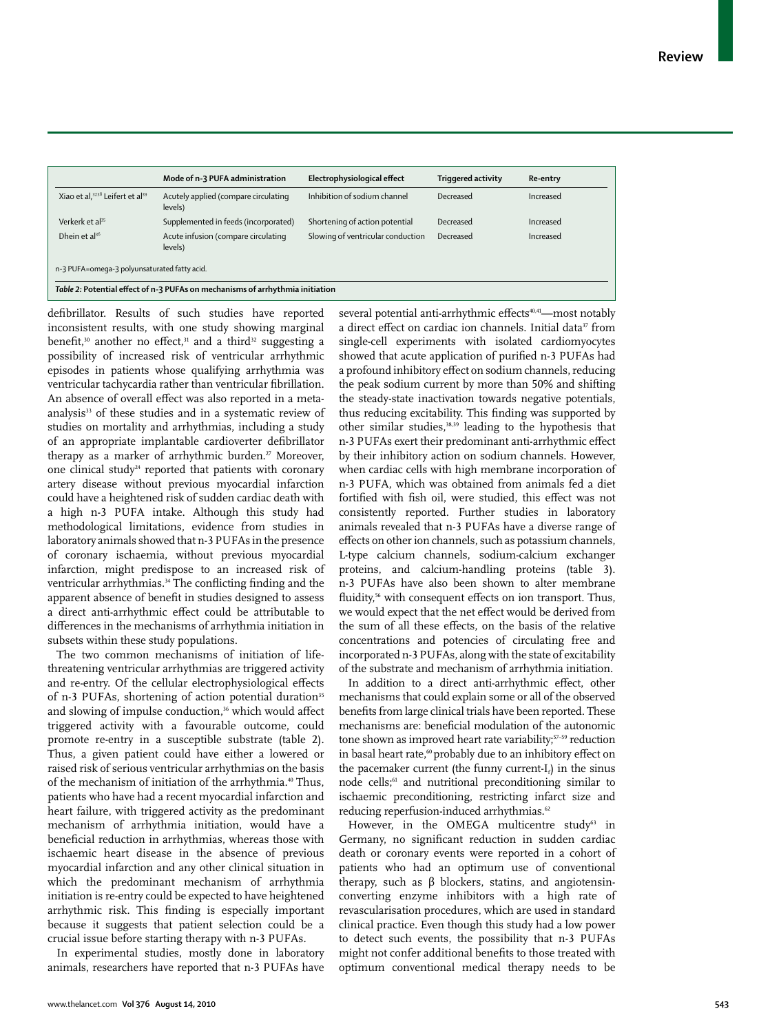|                                                                               | Mode of n-3 PUFA administration                 | Electrophysiological effect       | <b>Triggered activity</b> | Re-entry  |  |  |  |
|-------------------------------------------------------------------------------|-------------------------------------------------|-----------------------------------|---------------------------|-----------|--|--|--|
| Xiao et al, 37,38 Leifert et al <sup>39</sup>                                 | Acutely applied (compare circulating<br>levels) | Inhibition of sodium channel      | Decreased                 | Increased |  |  |  |
| Verkerk et al <sup>35</sup>                                                   | Supplemented in feeds (incorporated)            | Shortening of action potential    | Decreased                 | Increased |  |  |  |
| Dhein et $al^{36}$                                                            | Acute infusion (compare circulating<br>levels)  | Slowing of ventricular conduction | Decreased                 | Increased |  |  |  |
| n-3 PUFA=omega-3 polyunsaturated fatty acid.                                  |                                                 |                                   |                           |           |  |  |  |
| Table 2: Potential effect of n-3 PUFAs on mechanisms of arrhythmia initiation |                                                 |                                   |                           |           |  |  |  |

defibrillator. Results of such studies have reported inconsistent results, with one study showing marginal benefit,<sup>30</sup> another no effect,<sup>31</sup> and a third<sup>32</sup> suggesting a possibility of increased risk of ventricular arrhythmic episodes in patients whose qualifying arrhythmia was ventricular tachycardia rather than ventricular fibrillation. An absence of overall effect was also reported in a metaanalysis<sup>33</sup> of these studies and in a systematic review of studies on mortality and arrhythmias, including a study of an appropriate implantable cardioverter defibrillator therapy as a marker of arrhythmic burden.<sup>27</sup> Moreover, one clinical study<sup>24</sup> reported that patients with coronary artery disease without previous myocardial infarction could have a heightened risk of sudden cardiac death with a high n-3 PUFA intake. Although this study had methodological limitations, evidence from studies in laboratory animals showed that n-3 PUFAs in the presence of coronary ischaemia, without previous myocardial infarction, might predispose to an increased risk of ventricular arrhythmias.<sup>34</sup> The conflicting finding and the apparent absence of benefit in studies designed to assess a direct anti-arrhythmic effect could be attributable to differences in the mechanisms of arrhythmia initiation in subsets within these study populations.

The two common mechanisms of initiation of lifethreatening ventricular arrhythmias are triggered activity and re-entry. Of the cellular electrophysiological effects of n-3 PUFAs, shortening of action potential duration<sup>35</sup> and slowing of impulse conduction,<sup>36</sup> which would affect triggered activity with a favourable outcome, could promote re-entry in a susceptible substrate (table 2). Thus, a given patient could have either a lowered or raised risk of serious ventricular arrhythmias on the basis of the mechanism of initiation of the arrhythmia.<sup>40</sup> Thus, patients who have had a recent myocardial infarction and heart failure, with triggered activity as the predominant mechanism of arrhythmia initiation, would have a beneficial reduction in arrhythmias, whereas those with ischaemic heart disease in the absence of previous myocardial infarction and any other clinical situation in which the predominant mechanism of arrhythmia initiation is re-entry could be expected to have heightened arrhythmic risk. This finding is especially important because it suggests that patient selection could be a crucial issue before starting therapy with n-3 PUFAs.

In experimental studies, mostly done in laboratory animals, researchers have reported that n-3 PUFAs have several potential anti-arrhythmic effects<sup>40,41</sup>—most notably a direct effect on cardiac ion channels. Initial data<sup>37</sup> from single-cell experiments with isolated cardiomyocytes showed that acute application of purified n-3 PUFAs had a profound inhibitory effect on sodium channels, reducing the peak sodium current by more than 50% and shifting the steady-state inactivation towards negative potentials, thus reducing excitability. This finding was supported by other similar studies,38,39 leading to the hypothesis that n-3 PUFAs exert their predominant anti-arrhythmic effect by their inhibitory action on sodium channels. However, when cardiac cells with high membrane incorporation of n-3 PUFA, which was obtained from animals fed a diet fortified with fish oil, were studied, this effect was not consistently reported. Further studies in laboratory animals revealed that n-3 PUFAs have a diverse range of effects on other ion channels, such as potassium channels, L-type calcium channels, sodium-calcium exchanger proteins, and calcium-handling proteins (table 3). n-3 PUFAs have also been shown to alter membrane fluidity,<sup>56</sup> with consequent effects on ion transport. Thus, we would expect that the net effect would be derived from the sum of all these effects, on the basis of the relative concentrations and potencies of circulating free and incorporated n-3 PUFAs, along with the state of excitability of the substrate and mechanism of arrhythmia initiation.

In addition to a direct anti-arrhythmic effect, other mechanisms that could explain some or all of the observed benefits from large clinical trials have been reported. These mechanisms are: beneficial modulation of the autonomic tone shown as improved heart rate variability;<sup>57-59</sup> reduction in basal heart rate,<sup>60</sup> probably due to an inhibitory effect on the pacemaker current (the funny current- $I_d$ ) in the sinus node cells;61 and nutritional preconditioning similar to ischaemic preconditioning, restricting infarct size and reducing reperfusion-induced arrhythmias.<sup>62</sup>

However, in the OMEGA multicentre study<sup>63</sup> in Germany, no significant reduction in sudden cardiac death or coronary events were reported in a cohort of patients who had an optimum use of conventional therapy, such as β blockers, statins, and angiotensinconverting enzyme inhibitors with a high rate of revascularisation procedures, which are used in standard clinical practice. Even though this study had a low power to detect such events, the possibility that n-3 PUFAs might not confer additional benefits to those treated with optimum conventional medical therapy needs to be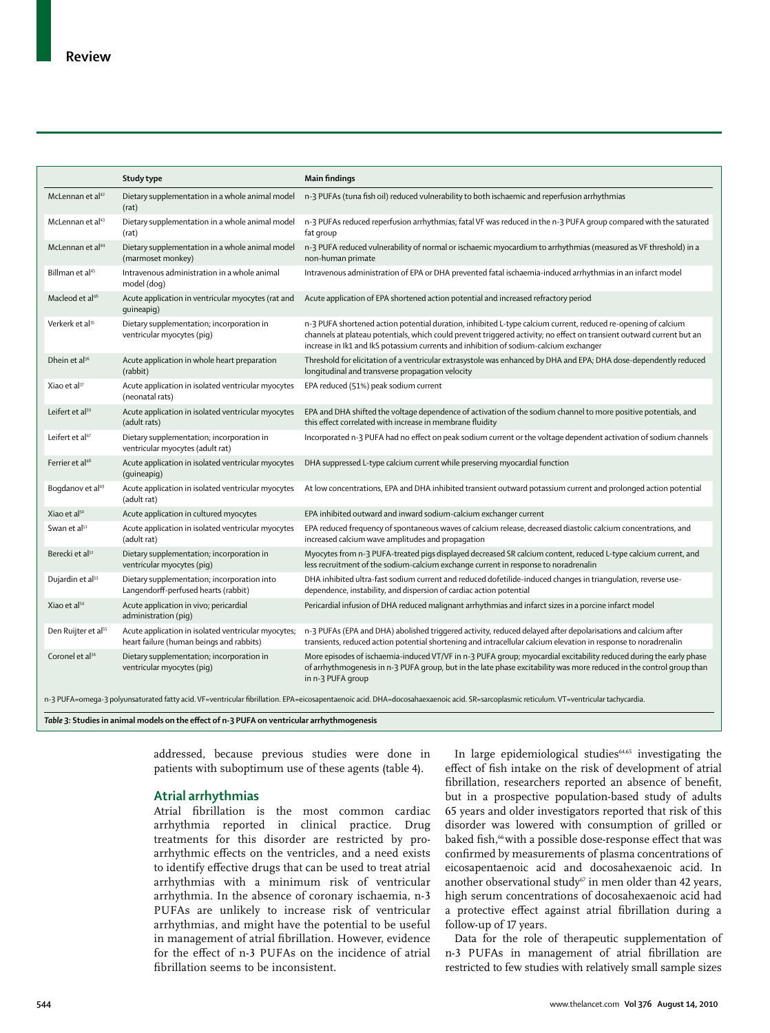|                                 | Study type                                                                                      | <b>Main findings</b>                                                                                                                                                                                                                                                                                                            |
|---------------------------------|-------------------------------------------------------------------------------------------------|---------------------------------------------------------------------------------------------------------------------------------------------------------------------------------------------------------------------------------------------------------------------------------------------------------------------------------|
| McLennan et $al^{42}$           | Dietary supplementation in a whole animal model<br>(rat)                                        | n-3 PUFAs (tuna fish oil) reduced vulnerability to both ischaemic and reperfusion arrhythmias                                                                                                                                                                                                                                   |
| McLennan et al <sup>43</sup>    | Dietary supplementation in a whole animal model<br>(rat)                                        | n-3 PUFAs reduced reperfusion arrhythmias; fatal VF was reduced in the n-3 PUFA group compared with the saturated<br>fat group                                                                                                                                                                                                  |
| McLennan et al <sup>44</sup>    | Dietary supplementation in a whole animal model<br>(marmoset monkey)                            | n-3 PUFA reduced vulnerability of normal or ischaemic myocardium to arrhythmias (measured as VF threshold) in a<br>non-human primate                                                                                                                                                                                            |
| Billman et al <sup>45</sup>     | Intravenous administration in a whole animal<br>model (dog)                                     | Intravenous administration of EPA or DHA prevented fatal ischaemia-induced arrhythmias in an infarct model                                                                                                                                                                                                                      |
| Macleod et al <sup>46</sup>     | Acute application in ventricular myocytes (rat and<br>quineapig)                                | Acute application of EPA shortened action potential and increased refractory period                                                                                                                                                                                                                                             |
| Verkerk et al <sup>35</sup>     | Dietary supplementation; incorporation in<br>ventricular myocytes (piq)                         | n-3 PUFA shortened action potential duration, inhibited L-type calcium current, reduced re-opening of calcium<br>channels at plateau potentials, which could prevent triggered activity; no effect on transient outward current but an<br>increase in Ik1 and IkS potassium currents and inhibition of sodium-calcium exchanger |
| Dhein et al <sup>36</sup>       | Acute application in whole heart preparation<br>(rabbit)                                        | Threshold for elicitation of a ventricular extrasystole was enhanced by DHA and EPA; DHA dose-dependently reduced<br>longitudinal and transverse propagation velocity                                                                                                                                                           |
| Xiao et al <sup>37</sup>        | Acute application in isolated ventricular myocytes<br>(neonatal rats)                           | EPA reduced (51%) peak sodium current                                                                                                                                                                                                                                                                                           |
| Leifert et al <sup>39</sup>     | Acute application in isolated ventricular myocytes<br>(adult rats)                              | EPA and DHA shifted the voltage dependence of activation of the sodium channel to more positive potentials, and<br>this effect correlated with increase in membrane fluidity                                                                                                                                                    |
| Leifert et al <sup>47</sup>     | Dietary supplementation; incorporation in<br>ventricular myocytes (adult rat)                   | Incorporated n-3 PUFA had no effect on peak sodium current or the voltage dependent activation of sodium channels                                                                                                                                                                                                               |
| Ferrier et al <sup>48</sup>     | Acute application in isolated ventricular myocytes<br>(quineapiq)                               | DHA suppressed L-type calcium current while preserving myocardial function                                                                                                                                                                                                                                                      |
| Bogdanov et al <sup>49</sup>    | Acute application in isolated ventricular myocytes<br>(adult rat)                               | At low concentrations, EPA and DHA inhibited transient outward potassium current and prolonged action potential                                                                                                                                                                                                                 |
| Xiao et al <sup>50</sup>        | Acute application in cultured myocytes                                                          | EPA inhibited outward and inward sodium-calcium exchanger current                                                                                                                                                                                                                                                               |
| Swan et al <sup>51</sup>        | Acute application in isolated ventricular myocytes<br>(adult rat)                               | EPA reduced frequency of spontaneous waves of calcium release, decreased diastolic calcium concentrations, and<br>increased calcium wave amplitudes and propagation                                                                                                                                                             |
| Berecki et al <sup>52</sup>     | Dietary supplementation; incorporation in<br>ventricular myocytes (pig)                         | Myocytes from n-3 PUFA-treated pigs displayed decreased SR calcium content, reduced L-type calcium current, and<br>less recruitment of the sodium-calcium exchange current in response to noradrenalin                                                                                                                          |
| Dujardin et al <sup>53</sup>    | Dietary supplementation; incorporation into<br>Langendorff-perfused hearts (rabbit)             | DHA inhibited ultra-fast sodium current and reduced dofetilide-induced changes in triangulation, reverse use-<br>dependence, instability, and dispersion of cardiac action potential                                                                                                                                            |
| Xiao et al <sup>54</sup>        | Acute application in vivo; pericardial<br>administration (pig)                                  | Pericardial infusion of DHA reduced malignant arrhythmias and infarct sizes in a porcine infarct model                                                                                                                                                                                                                          |
| Den Ruijter et al <sup>55</sup> | Acute application in isolated ventricular myocytes;<br>heart failure (human beings and rabbits) | n-3 PUFAs (EPA and DHA) abolished triggered activity, reduced delayed after depolarisations and calcium after<br>transients, reduced action potential shortening and intracellular calcium elevation in response to noradrenalin                                                                                                |
| Coronel et al <sup>34</sup>     | Dietary supplementation; incorporation in<br>ventricular myocytes (piq)                         | More episodes of ischaemia-induced VT/VF in n-3 PUFA group; myocardial excitability reduced during the early phase<br>of arrhythmogenesis in n-3 PUFA group, but in the late phase excitability was more reduced in the control group than<br>in n-3 PUFA group                                                                 |

n-3 PUFA=omega-3 polyunsaturated fatty acid. VF=ventricular fibrillation. EPA=eicosapentaenoic acid. DHA=docosahaexaenoic acid. SR=sarcoplasmic reticulum. VT=ventricular tachycardia.

Table 3: Studies in animal models on the effect of n-3 PUFA on ventricular arrhythmogenesis

addressed, because previous studies were done in patients with suboptimum use of these agents (table 4).

## **Atrial arrhythmias**

Atrial fibrillation is the most common cardiac arrhythmia reported in clinical practice. Drug treatments for this disorder are restricted by proarrhythmic effects on the ventricles, and a need exists to identify effective drugs that can be used to treat atrial arrhythmias with a minimum risk of ventricular arrhythmia. In the absence of coronary ischaemia, n-3 PUFAs are unlikely to increase risk of ventricular arrhythmias, and might have the potential to be useful in management of atrial fibrillation. However, evidence for the effect of n-3 PUFAs on the incidence of atrial fibrillation seems to be inconsistent.

In large epidemiological studies $64,65$  investigating the effect of fish intake on the risk of development of atrial fibrillation, researchers reported an absence of benefit, but in a prospective population-based study of adults 65 years and older investigators reported that risk of this disorder was lowered with consumption of grilled or baked fish,<sup>66</sup> with a possible dose-response effect that was confirmed by measurements of plasma concentrations of eicosa pentaenoic acid and docosahexaenoic acid. In another observational study $67$  in men older than 42 years, high serum concentrations of docosahexaenoic acid had a protective effect against atrial fibrillation during a follow-up of 17 years.

Data for the role of therapeutic supplementation of n-3 PUFAs in management of atrial fibrillation are restricted to few studies with relatively small sample sizes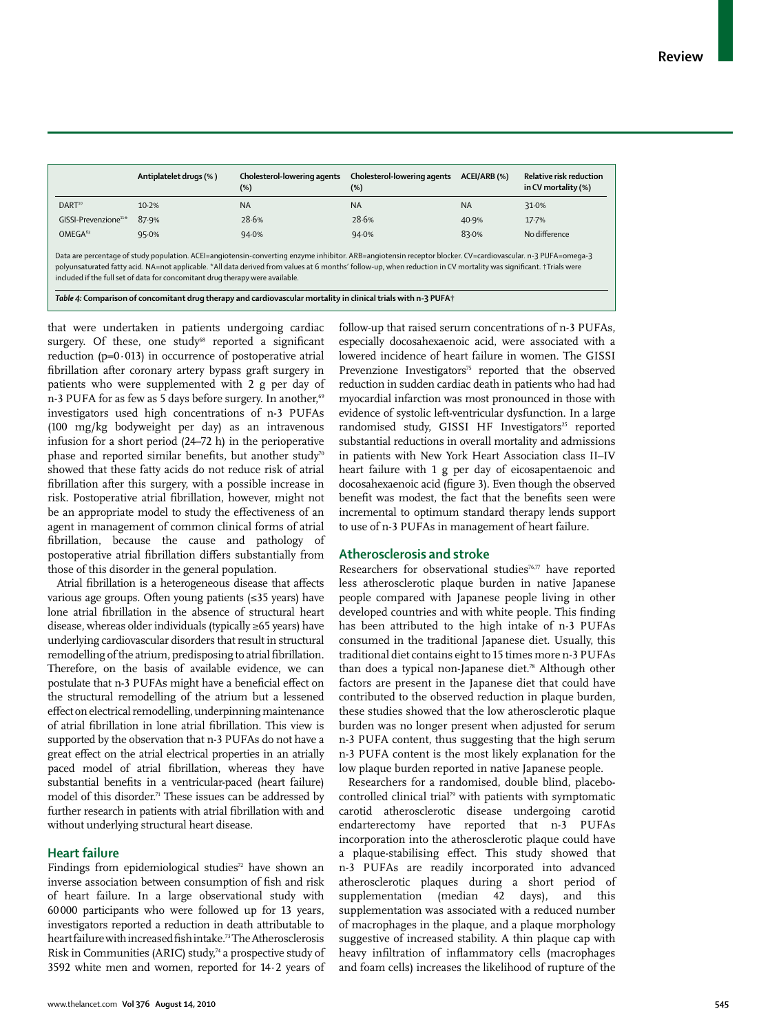|                                                                                                                                                                                                                                                                                                                                                                                                                    | Antiplatelet drugs (%) | Cholesterol-lowering agents<br>$(\%)$ | Cholesterol-lowering agents<br>(%) | ACEI/ARB (%) | Relative risk reduction<br>in CV mortality (%) |  |  |
|--------------------------------------------------------------------------------------------------------------------------------------------------------------------------------------------------------------------------------------------------------------------------------------------------------------------------------------------------------------------------------------------------------------------|------------------------|---------------------------------------|------------------------------------|--------------|------------------------------------------------|--|--|
| DART <sup>10</sup>                                                                                                                                                                                                                                                                                                                                                                                                 | 10.2%                  | <b>NA</b>                             | <b>NA</b>                          | <b>NA</b>    | 31.0%                                          |  |  |
| $GISSLP$ revenzione <sup>11*</sup>                                                                                                                                                                                                                                                                                                                                                                                 | 87.9%                  | 28.6%                                 | 28.6%                              | 40.9%        | 17.7%                                          |  |  |
| OMFGA <sup>63</sup>                                                                                                                                                                                                                                                                                                                                                                                                | 95.0%                  | 94.0%                                 | 94.0%                              | 83.0%        | No difference                                  |  |  |
| Data are percentage of study population. ACEI=angiotensin-converting enzyme inhibitor. ARB=angiotensin receptor blocker. CV=cardiovascular. n-3 PUFA=omega-3<br>polyunsaturated fatty acid. NA=not applicable. *All data derived from values at 6 months' follow-up, when reduction in CV mortality was significant. +Trials were<br>included if the full set of data for concomitant drug therapy were available. |                        |                                       |                                    |              |                                                |  |  |

*Table 4:* **Comparison of concomitant drug therapy and cardiovascular mortality in clinical trials with n-3 PUFA†**

that were undertaken in patients undergoing cardiac surgery. Of these, one study<sup>68</sup> reported a significant reduction  $(p=0.013)$  in occurrence of postoperative atrial fibrillation after coronary artery bypass graft surgery in patients who were supplemented with 2 g per day of n-3 PUFA for as few as 5 days before surgery. In another,<sup>69</sup> investigators used high concentrations of n-3 PUFAs (100 mg/kg bodyweight per day) as an intravenous infusion for a short period (24–72 h) in the perioperative phase and reported similar benefits, but another study<sup>70</sup> showed that these fatty acids do not reduce risk of atrial fibrillation after this surgery, with a possible increase in risk. Postoperative atrial fibrillation, however, might not be an appropriate model to study the effectiveness of an agent in management of common clinical forms of atrial fibrillation, because the cause and pathology of postoperative atrial fibrillation differs substantially from those of this disorder in the general population.

Atrial fibrillation is a heterogeneous disease that affects various age groups. Often young patients (≤35 years) have lone atrial fibrillation in the absence of structural heart disease, whereas olderindividuals (typically ≥65 years) have underlying cardiovascular disorders that result in structural remodelling of the atrium, predisposing to atrial fibrillation. Therefore, on the basis of available evidence, we can postulate that n-3 PUFAs might have a beneficial effect on the structural remodelling of the atrium but a lessened effect on electrical remodelling, underpinning maintenance of atrial fibrillation in lone atrial fibrillation. This view is supported by the observation that n-3 PUFAs do not have a great effect on the atrial electrical properties in an atrially paced model of atrial fibrillation, whereas they have substantial benefits in a ventricular-paced (heart failure) model of this disorder.<sup>71</sup> These issues can be addressed by further research in patients with atrial fibrillation with and without underlying structural heart disease.

## **Heart failure**

Findings from epidemiological studies $72$  have shown an inverse association between consumption of fish and risk of heart failure. In a large observational study with 60 000 participants who were followed up for 13 years, investigators reported a reduction in death attributable to heart failure with increased fish intake.<sup>73</sup> The Atherosclerosis Risk in Communities (ARIC) study,<sup>74</sup> a prospective study of 3592 white men and women, reported for 14·2 years of follow-up that raised serum concentrations of n-3 PUFAs, especially docosahexaenoic acid, were associated with a lowered incidence of heart failure in women. The GISSI Prevenzione Investigators<sup>75</sup> reported that the observed reduction in sudden cardiac death in patients who had had myocardial infarction was most pronounced in those with evidence of systolic left-ventricular dysfunction. In a large randomised study, GISSI HF Investigators<sup>25</sup> reported substantial reductions in overall mortality and admissions in patients with New York Heart Association class II–IV heart failure with 1 g per day of eicosapentaenoic and docosahexaenoic acid (figure 3). Even though the observed benefit was modest, the fact that the benefits seen were incremental to optimum standard therapy lends support to use of n-3 PUFAs in management of heart failure.

# **Atherosclerosis and stroke**

Researchers for observational studies<sup>76,77</sup> have reported less atherosclerotic plaque burden in native Japanese people compared with Japanese people living in other developed countries and with white people. This finding has been attributed to the high intake of n-3 PUFAs consumed in the traditional Japanese diet. Usually, this traditional diet contains eight to 15 times more n-3 PUFAs than does a typical non-Japanese diet.<sup>78</sup> Although other factors are present in the Japanese diet that could have contributed to the observed reduction in plaque burden, these studies showed that the low atherosclerotic plaque burden was no longer present when adjusted for serum n-3 PUFA content, thus suggesting that the high serum n-3 PUFA content is the most likely explanation for the low plaque burden reported in native Japanese people.

Researchers for a randomised, double blind, placebocontrolled clinical trial<sup>79</sup> with patients with symptomatic carotid atherosclerotic disease undergoing carotid endarterectomy have reported that n-3 PUFAs incorporation into the atherosclerotic plaque could have a plaque-stabilising effect. This study showed that n-3 PUFAs are readily incorporated into advanced atherosclerotic plaques during a short period of supplementation (median 42 days), and this supplementation was associated with a reduced number of macrophages in the plaque, and a plaque morphology suggestive of increased stability. A thin plaque cap with heavy infiltration of inflammatory cells (macrophages and foam cells) increases the likelihood of rupture of the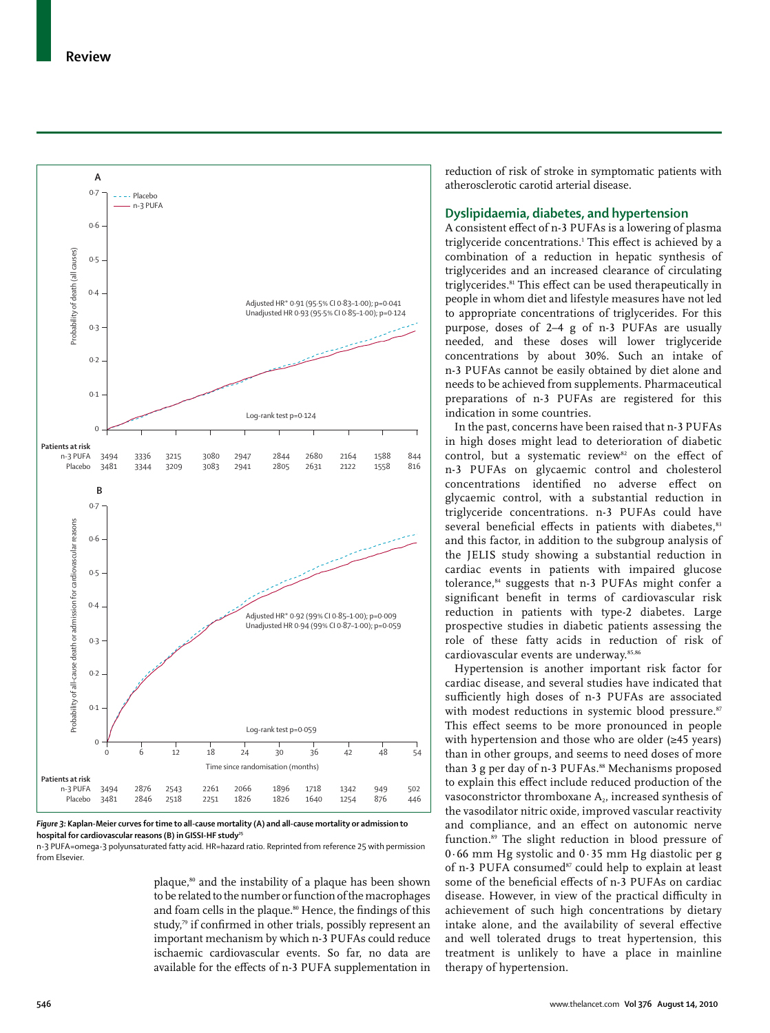

hospital for cardiovascular reasons (B) in GISSI-HF study<sup>25</sup> n-3 PUFA=omega-3 polyunsaturated fatty acid. HR=hazard ratio. Reprinted from reference 25 with permission

from Elsevier.

plaque,<sup>80</sup> and the instability of a plaque has been shown to be related to the number or function of the macrophages and foam cells in the plaque.<sup>80</sup> Hence, the findings of this study,<sup>79</sup> if confirmed in other trials, possibly represent an important mechanism by which n-3 PUFAs could reduce ischaemic cardiovascular events. So far, no data are available for the effects of n-3 PUFA supplementation in reduction of risk of stroke in symptomatic patients with atherosclerotic carotid arterial disease.

## **Dyslipidaemia, diabetes, and hypertension**

A consistent effect of n-3 PUFAs is a lowering of plasma triglyceride concentrations.<sup>1</sup> This effect is achieved by a combination of a reduction in hepatic synthesis of triglycerides and an increased clearance of circulating triglycerides.<sup>81</sup> This effect can be used therapeutically in people in whom diet and lifestyle measures have not led to appropriate concentrations of triglycerides. For this purpose, doses of 2–4 g of n-3 PUFAs are usually needed, and these doses will lower triglyceride concentrations by about 30%. Such an intake of n-3 PUFAs cannot be easily obtained by diet alone and needs to be achieved from supplements. Pharmaceutical preparations of n-3 PUFAs are registered for this indication in some countries.

In the past, concerns have been raised that n-3 PUFAs in high doses might lead to deterioration of diabetic control, but a systematic review<sup>82</sup> on the effect of n-3 PUFAs on glycaemic control and cholesterol concentrations identified no adverse effect on glycaemic control, with a substantial reduction in triglyceride concentrations. n-3 PUFAs could have several beneficial effects in patients with diabetes,<sup>83</sup> and this factor, in addition to the subgroup analysis of the JELIS study showing a substantial reduction in cardiac events in patients with impaired glucose tolerance,<sup>84</sup> suggests that n-3 PUFAs might confer a significant benefit in terms of cardiovascular risk reduction in patients with type-2 diabetes. Large prospective studies in diabetic patients assessing the role of these fatty acids in reduction of risk of cardiovascular events are underway.<sup>85,86</sup>

Hypertension is another important risk factor for cardiac disease, and several studies have indicated that sufficiently high doses of n-3 PUFAs are associated with modest reductions in systemic blood pressure.<sup>87</sup> This effect seems to be more pronounced in people with hypertension and those who are older (≥45 years) than in other groups, and seems to need doses of more than 3 g per day of n-3 PUFAs.<sup>88</sup> Mechanisms proposed to explain this effect include reduced production of the vasoconstrictor thromboxane A<sub>2</sub>, increased synthesis of the vasodilator nitric oxide, improved vascular reactivity and compliance, and an effect on autonomic nerve function.89 The slight reduction in blood pressure of 0·66 mm Hg systolic and 0·35 mm Hg diastolic per g of n-3 PUFA consumed<sup>87</sup> could help to explain at least some of the beneficial effects of n-3 PUFAs on cardiac disease. However, in view of the practical difficulty in achievement of such high concentrations by dietary intake alone, and the availability of several effective and well tolerated drugs to treat hypertension, this treatment is unlikely to have a place in mainline therapy of hypertension.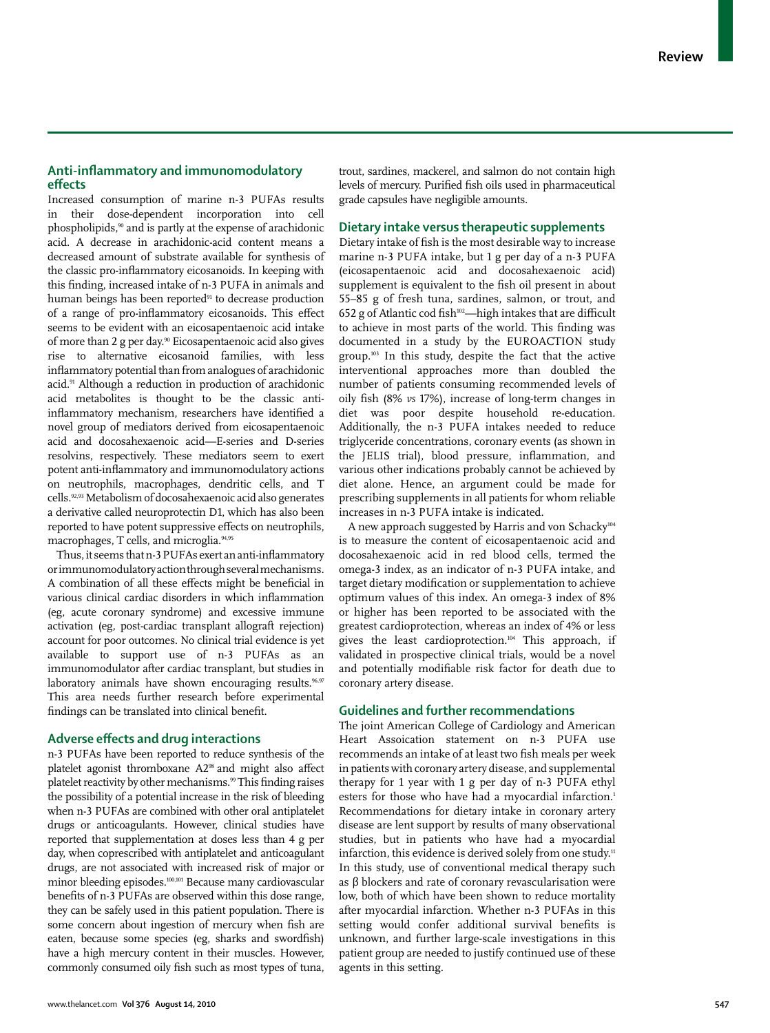# Anti-inflammatory and immunomodulatory **eff ects**

Increased consumption of marine n-3 PUFAs results in their dose-dependent incorporation into cell phospholipids,90 and is partly at the expense of arachidonic acid. A decrease in arachidonic-acid content means a decreased amount of substrate available for synthesis of the classic pro-inflammatory eicosanoids. In keeping with this finding, increased intake of n-3 PUFA in animals and human beings has been reported<sup>91</sup> to decrease production of a range of pro-inflammatory eicosanoids. This effect seems to be evident with an eicosapentaenoic acid intake of more than 2 g per day.90 Eicosapentaenoic acid also gives rise to alternative eicosanoid families, with less inflammatory potential than from analogues of arachidonic acid.<sup>91</sup> Although a reduction in production of arachidonic acid metabolites is thought to be the classic antiinflammatory mechanism, researchers have identified a novel group of mediators derived from eicosapentaenoic acid and docosahexaenoic acid—E-series and D-series resolvins, respectively. These mediators seem to exert potent anti-inflammatory and immunomodulatory actions on neutrophils, macrophages, dendritic cells, and T cells.92,93 Metabolism of docosahexaenoic acid also generates a derivative called neuroprotectin D1, which has also been reported to have potent suppressive effects on neutrophils, macrophages, T cells, and microglia.94,95

Thus, it seems that n-3 PUFAs exert an anti-inflammatory or immunomodulatory action through several mechanisms. A combination of all these effects might be beneficial in various clinical cardiac disorders in which inflammation (eg, acute coronary syndrome) and excessive immune activation (eg, post-cardiac transplant allograft rejection) account for poor outcomes. No clinical trial evidence is yet available to support use of n-3 PUFAs as an immunomodulator after cardiac transplant, but studies in laboratory animals have shown encouraging results.<sup>96,97</sup> This area needs further research before experimental findings can be translated into clinical benefit.

## **Adverse eff ects and drug interactions**

n-3 PUFAs have been reported to reduce synthesis of the platelet agonist thromboxane A2<sup>98</sup> and might also affect platelet reactivity by other mechanisms.<sup>99</sup> This finding raises the possibility of a potential increase in the risk of bleeding when n-3 PUFAs are combined with other oral antiplatelet drugs or anticoagulants. However, clinical studies have reported that supplementation at doses less than 4 g per day, when coprescribed with antiplatelet and anticoagulant drugs, are not associated with increased risk of major or minor bleeding episodes.100,101 Because many cardiovascular benefits of n-3 PUFAs are observed within this dose range, they can be safely used in this patient population. There is some concern about ingestion of mercury when fish are eaten, because some species (eg, sharks and swordfish) have a high mercury content in their muscles. However, commonly consumed oily fish such as most types of tuna, trout, sardines, mackerel, and salmon do not contain high levels of mercury. Purified fish oils used in pharmaceutical grade capsules have negligible amounts.

## **Dietary intake versus therapeutic supplements**

Dietary intake of fish is the most desirable way to increase marine n-3 PUFA intake, but 1 g per day of a n-3 PUFA (eicosapentaenoic acid and docosahexaenoic acid) supplement is equivalent to the fish oil present in about 55–85 g of fresh tuna, sardines, salmon, or trout, and 652 g of Atlantic cod fish<sup>102</sup>—high intakes that are difficult to achieve in most parts of the world. This finding was documented in a study by the EUROACTION study group.103 In this study, despite the fact that the active interventional approaches more than doubled the number of patients consuming recommended levels of oily fish (8% *vs* 17%), increase of long-term changes in diet was poor despite household re-education. Additionally, the n-3 PUFA intakes needed to reduce triglyceride concentrations, coronary events (as shown in the JELIS trial), blood pressure, inflammation, and various other indications probably cannot be achieved by diet alone. Hence, an argument could be made for prescribing supplements in all patients for whom reliable increases in n-3 PUFA intake is indicated.

A new approach suggested by Harris and von Schacky<sup>104</sup> is to measure the content of eicosapentaenoic acid and docosahexaenoic acid in red blood cells, termed the omega-3 index, as an indicator of n-3 PUFA intake, and target dietary modification or supplementation to achieve optimum values of this index. An omega-3 index of 8% or higher has been reported to be associated with the greatest cardioprotection, whereas an index of 4% or less gives the least cardioprotection.104 This approach, if validated in prospective clinical trials, would be a novel and potentially modifiable risk factor for death due to coronary artery disease.

# **Guidelines and further recommendations**

The joint American College of Cardiology and American Heart Assoication statement on n-3 PUFA use recommends an intake of at least two fish meals per week in patients with coronary artery disease, and supplemental therapy for 1 year with 1 g per day of n-3 PUFA ethyl esters for those who have had a myocardial infarction.<sup>1</sup> Recommendations for dietary intake in coronary artery disease are lent support by results of many observational studies, but in patients who have had a myocardial infarction, this evidence is derived solely from one study.<sup>11</sup> In this study, use of conventional medical therapy such as β blockers and rate of coronary revascularisation were low, both of which have been shown to reduce mortality after myocardial infarction. Whether n-3 PUFAs in this setting would confer additional survival benefits is unknown, and further large-scale investigations in this patient group are needed to justify continued use of these agents in this setting.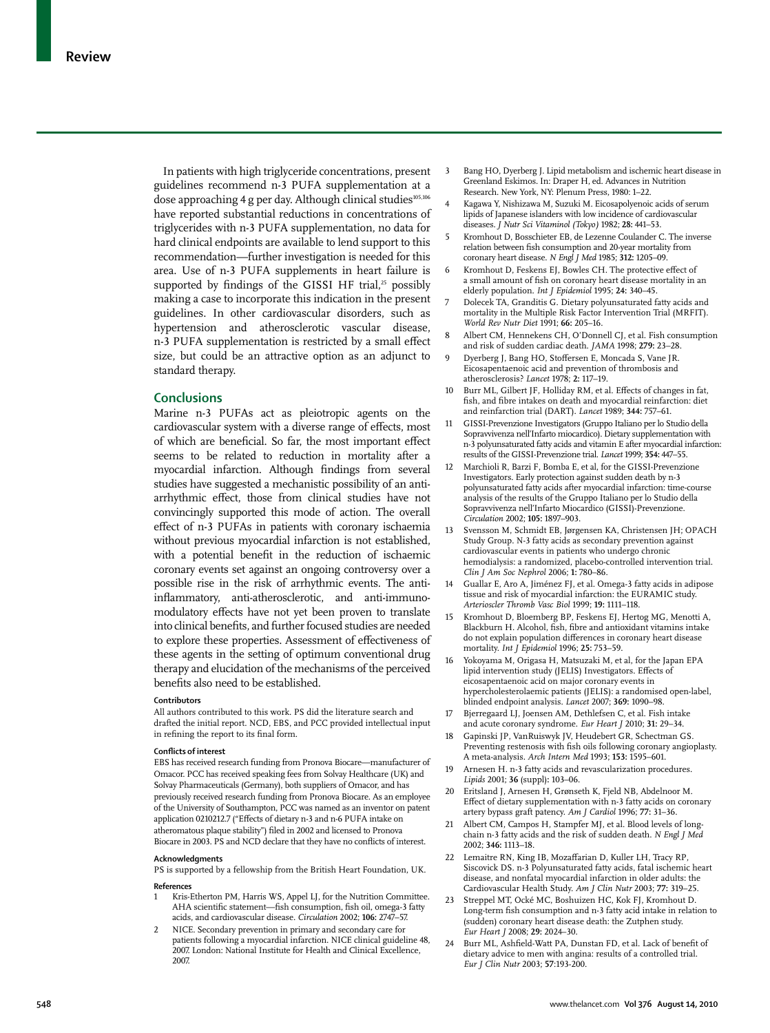In patients with high triglyceride concentrations, present guidelines recommend n-3 PUFA supplementation at a dose approaching 4 g per day. Although clinical studies<sup>105,106</sup> have reported substantial reductions in concentrations of triglycerides with n-3 PUFA supplementation, no data for hard clinical endpoints are available to lend support to this recommendation—further investigation is needed for this area. Use of n-3 PUFA supplements in heart failure is supported by findings of the GISSI HF trial,<sup>25</sup> possibly making a case to incorporate this indication in the present guidelines. In other cardiovascular disorders, such as hypertension and atherosclerotic vascular disease, n-3 PUFA supplementation is restricted by a small effect size, but could be an attractive option as an adjunct to standard therapy.

# **Conclusions**

Marine n-3 PUFAs act as pleiotropic agents on the cardiovascular system with a diverse range of effects, most of which are beneficial. So far, the most important effect seems to be related to reduction in mortality after a myocardial infarction. Although findings from several studies have suggested a mechanistic possibility of an antiarrhythmic effect, those from clinical studies have not convincingly supported this mode of action. The overall effect of n-3 PUFAs in patients with coronary ischaemia without previous myocardial infarction is not established, with a potential benefit in the reduction of ischaemic coronary events set against an ongoing controversy over a possible rise in the risk of arrhythmic events. The antiinflammatory, anti-atherosclerotic, and anti-immunomodulatory effects have not yet been proven to translate into clinical benefits, and further focused studies are needed to explore these properties. Assessment of effectiveness of these agents in the setting of optimum conventional drug therapy and elucidation of the mechanisms of the perceived benefits also need to be established.

### **Contributors**

All authors contributed to this work. PS did the literature search and drafted the initial report. NCD, EBS, and PCC provided intellectual input in refining the report to its final form.

### **Conflicts of interest**

EBS has received research funding from Pronova Biocare—manufacturer of Omacor. PCC has received speaking fees from Solvay Healthcare (UK) and Solvay Pharmaceuticals (Germany), both suppliers of Omacor, and has previously received research funding from Pronova Biocare. As an employee of the University of Southampton, PCC was named as an inventor on patent application 0210212.7 ("Effects of dietary n-3 and n-6 PUFA intake on atheromatous plaque stability") filed in 2002 and licensed to Pronova Biocare in 2003. PS and NCD declare that they have no conflicts of interest.

### **Acknowledgments**

PS is supported by a fellowship from the British Heart Foundation, UK. **References**

- 1 Kris-Etherton PM, Harris WS, Appel LJ, for the Nutrition Committee. AHA scientific statement—fish consumption, fish oil, omega-3 fatty acids, and cardiovascular disease. *Circulation* 2002; **106:** 2747–57.
- NICE. Secondary prevention in primary and secondary care for patients following a myocardial infarction. NICE clinical guideline 48, 2007. London: National Institute for Health and Clinical Excellence, 2007.
- 3 Bang HO, Dyerberg J. Lipid metabolism and ischemic heart disease in Greenland Eskimos. In: Draper H, ed. Advances in Nutrition Research. New York, NY: Plenum Press, 1980: 1–22.
- Kagawa Y, Nishizawa M, Suzuki M. Eicosapolyenoic acids of serum lipids of Japanese islanders with low incidence of cardiovascular diseases. *J Nutr Sci Vitaminol (Tokyo)* 1982; **28:** 441–53.
- 5 Kromhout D, Bosschieter EB, de Lezenne Coulander C. The inverse relation between fish consumption and 20-year mortality from coronary heart disease. *N Engl J Med* 1985; **312:** 1205–09.
- 6 Kromhout D, Feskens EJ, Bowles CH. The protective effect of a small amount of fish on coronary heart disease mortality in an elderly population. *Int J Epidemiol* 1995; **24:** 340–45.
- 7 Dolecek TA, Granditis G. Dietary polyunsaturated fatty acids and mortality in the Multiple Risk Factor Intervention Trial (MRFIT). *World Rev Nutr Diet* 1991; **66:** 205–16.
- 8 Albert CM, Hennekens CH, O'Donnell CJ, et al. Fish consumption and risk of sudden cardiac death. *JAMA* 1998; **279:** 23–28.
- 9 Dyerberg J, Bang HO, Stoffersen E, Moncada S, Vane JR. Eicosapentaenoic acid and prevention of thrombosis and atherosclerosis? *Lancet* 1978; **2:** 117–19.
- 10 Burr ML, Gilbert JF, Holliday RM, et al. Effects of changes in fat, fish, and fibre intakes on death and myocardial reinfarction: diet and reinfarction trial (DART). *Lancet* 1989; **344:** 757–61.
- 11 GISSI-Prevenzione Investigators (Gruppo Italiano per lo Studio della Sopravvivenza nell'Infarto miocardico). Dietary supplementation with n-3 polyunsaturated fatty acids and vitamin E after myocardial infarction: results of the GISSI-Prevenzione trial. *Lancet* 1999; **354:** 447–55.
- 12 Marchioli R, Barzi F, Bomba E, et al, for the GISSI-Prevenzione Investigators. Early protection against sudden death by n-3 polyunsaturated fatty acids after myocardial infarction: time-course analysis of the results of the Gruppo Italiano per lo Studio della Sopravvivenza nell'Infarto Miocardico (GISSI)-Prevenzione. *Circulation* 2002; **105:** 1897–903.
- 13 Svensson M, Schmidt EB, Jørgensen KA, Christensen JH; OPACH Study Group. N-3 fatty acids as secondary prevention against cardiovascular events in patients who undergo chronic hemodialysis: a randomized, placebo-controlled intervention trial. *Clin J Am Soc Nephrol* 2006; **1:** 780–86.
- 14 Guallar E, Aro A, Jiménez FJ, et al. Omega-3 fatty acids in adipose tissue and risk of myocardial infarction: the EURAMIC study. *Arterioscler Thromb Vasc Biol* 1999; **19:** 1111–118.
- 15 Kromhout D, Bloemberg BP, Feskens EJ, Hertog MG, Menotti A, Blackburn H. Alcohol, fish, fibre and antioxidant vitamins intake do not explain population differences in coronary heart disease mortality. *Int J Epidemiol* 1996; **25:** 753–59.
- 16 Yokoyama M, Origasa H, Matsuzaki M, et al, for the Japan EPA lipid intervention study (JELIS) Investigators. Effects of eicosapentaenoic acid on major coronary events in hypercholesterolaemic patients (JELIS): a randomised open-label, blinded endpoint analysis. *Lancet* 2007; **369:** 1090–98.
- 17 Bjerregaard LJ, Joensen AM, Dethlefsen C, et al. Fish intake and acute coronary syndrome. *Eur Heart J* 2010; **31:** 29–34.
- 18 Gapinski JP, VanRuiswyk JV, Heudebert GR, Schectman GS. Preventing restenosis with fish oils following coronary angioplasty. A meta-analysis. *Arch Intern Med* 1993; **153:** 1595–601.
- 19 Arnesen H. n-3 fatty acids and revascularization procedures. *Lipids* 2001; **36** (suppl)**:** 103–06.
- Eritsland J, Arnesen H, Grønseth K, Fjeld NB, Abdelnoor M. Effect of dietary supplementation with n-3 fatty acids on coronary artery bypass graft patency. *Am J Cardiol* 1996; **77:** 31–36.
- 21 Albert CM, Campos H, Stampfer MJ, et al. Blood levels of longchain n-3 fatty acids and the risk of sudden death. *N Engl J Med* 2002; **346:** 1113–18.
- 22 Lemaitre RN, King IB, Mozaffarian D, Kuller LH, Tracy RP, Siscovick DS. n-3 Polyunsaturated fatty acids, fatal ischemic heart disease, and nonfatal myocardial infarction in older adults: the Cardiovascular Health Study. *Am J Clin Nutr* 2003; **77:** 319–25.
- 23 Streppel MT, Ocké MC, Boshuizen HC, Kok FJ, Kromhout D. Long-term fish consumption and n-3 fatty acid intake in relation to (sudden) coronary heart disease death: the Zutphen study. *Eur Heart J* 2008; **29:** 2024–30.
- 24 Burr ML, Ashfield-Watt PA, Dunstan FD, et al. Lack of benefit of dietary advice to men with angina: results of a controlled trial. *Eur J Clin Nutr* 2003; **57**:193-200.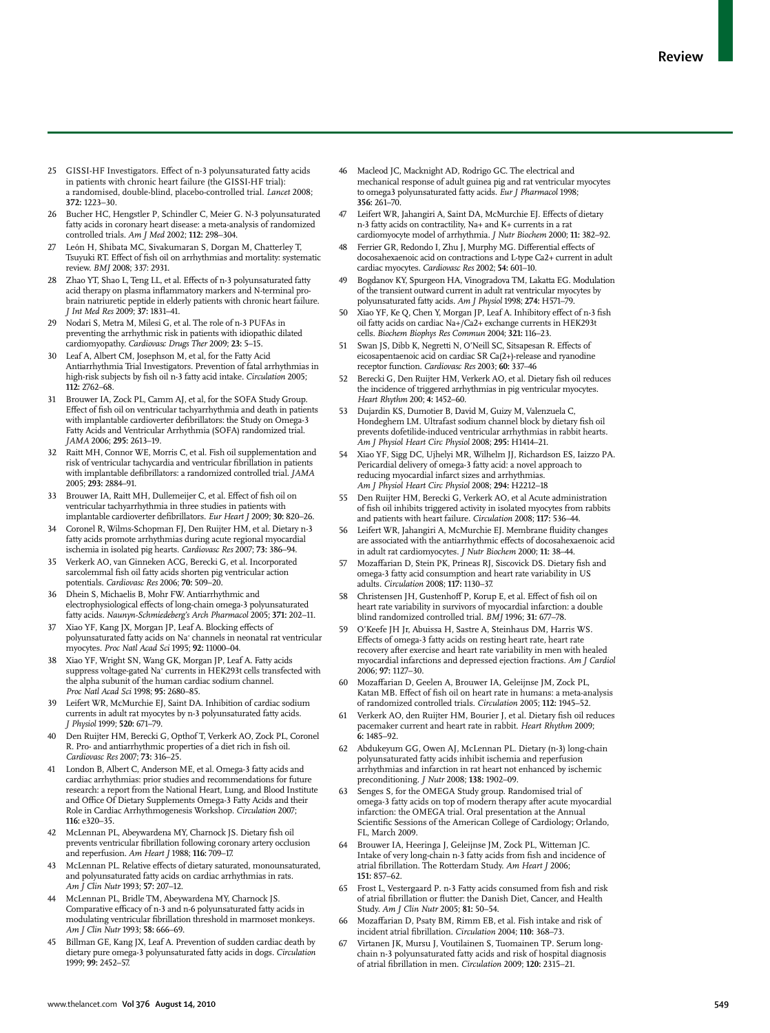- 25 GISSI-HF Investigators. Effect of n-3 polyunsaturated fatty acids in patients with chronic heart failure (the GISSI-HF trial): a randomised, double-blind, placebo-controlled trial. *Lancet* 2008; **372:** 1223–30.
- 26 Bucher HC, Hengstler P, Schindler C, Meier G. N-3 polyunsaturated fatty acids in coronary heart disease: a meta-analysis of randomized controlled trials. *Am J Med* 2002; **112:** 298–304.
- León H, Shibata MC, Sivakumaran S, Dorgan M, Chatterley T, Tsuyuki RT. Effect of fish oil on arrhythmias and mortality: systematic review. *BMJ* 2008; 337: 2931.
- 28 Zhao YT, Shao L, Teng LL, et al. Effects of n-3 polyunsaturated fatty acid therapy on plasma inflammatory markers and N-terminal probrain natriuretic peptide in elderly patients with chronic heart failure. *J Int Med Res* 2009; **37:** 1831–41.
- Nodari S, Metra M, Milesi G, et al. The role of n-3 PUFAs in preventing the arrhythmic risk in patients with idiopathic dilated cardiomyopathy. *Cardiovasc Drugs Ther* 2009; **23:** 5–15.
- Leaf A, Albert CM, Josephson M, et al, for the Fatty Acid Antiarrhythmia Trial Investigators. Prevention of fatal arrhythmias in high-risk subjects by fish oil n-3 fatty acid intake. *Circulation* 2005; **112:** 2762–68.
- Brouwer IA, Zock PL, Camm AJ, et al, for the SOFA Study Group. Effect of fish oil on ventricular tachyarrhythmia and death in patients with implantable cardioverter defibrillators: the Study on Omega-3 Fatty Acids and Ventricular Arrhythmia (SOFA) randomized trial. *JAMA* 2006; **295:** 2613–19.
- 32 Raitt MH, Connor WE, Morris C, et al. Fish oil supplementation and risk of ventricular tachycardia and ventricular fibrillation in patients with implantable defibrillators: a randomized controlled trial. *JAMA* 2005; **293:** 2884–91.
- 33 Brouwer IA, Raitt MH, Dullemeijer C, et al. Effect of fish oil on ventricular tachyarrhythmia in three studies in patients with implantable cardioverter defibrillators. *Eur Heart J* 2009; 30: 820-26
- 34 Coronel R, Wilms-Schopman FJ, Den Ruijter HM, et al. Dietary n-3 fatty acids promote arrhythmias during acute regional myocardial ischemia in isolated pig hearts. *Cardiovasc Res* 2007; **73:** 386–94.
- 35 Verkerk AO, van Ginneken ACG, Berecki G, et al. Incorporated sarcolemmal fish oil fatty acids shorten pig ventricular action potentials. *Cardiovasc Res* 2006; **70:** 509–20.
- 36 Dhein S, Michaelis B, Mohr FW. Antiarrhythmic and electrophysiological effects of long-chain omega-3 polyunsaturated fatty acids. *Naunyn-Schmiedeberg's Arch Pharmacol* 2005; **371:** 202–11.
- 37 Xiao YF, Kang JX, Morgan JP, Leaf A. Blocking effects of polyunsaturated fatty acids on Na+ channels in neonatal rat ventricular myocytes. *Proc Natl Acad Sci* 1995; **92:** 11000–04.
- 38 Xiao YF, Wright SN, Wang GK, Morgan JP, Leaf A. Fatty acids suppress voltage-gated Na+ currents in HEK293t cells transfected with the alpha subunit of the human cardiac sodium channel. *Proc Natl Acad Sci* 1998; **95:** 2680–85.
- 39 Leifert WR, McMurchie EJ, Saint DA. Inhibition of cardiac sodium currents in adult rat myocytes by n-3 polyunsaturated fatty acids. *J Physiol* 1999; **520:** 671–79.
- 40 Den Ruijter HM, Berecki G, Opthof T, Verkerk AO, Zock PL, Coronel R. Pro- and antiarrhythmic properties of a diet rich in fish oil. *Cardiovasc Res* 2007; **73:** 316–25.
- London B, Albert C, Anderson ME, et al. Omega-3 fatty acids and cardiac arrhythmias: prior studies and recommendations for future research: a report from the National Heart, Lung, and Blood Institute and Office Of Dietary Supplements Omega-3 Fatty Acids and their<br>Role in Cardiac Arrhythmogenesis Workshop. *Circulation* 2007; **116:** e320–35.
- McLennan PL, Abeywardena MY, Charnock JS. Dietary fish oil prevents ventricular fibrillation following coronary artery occlusion and reperfusion. *Am Heart J* 1988; **116:** 709–17.
- McLennan PL. Relative effects of dietary saturated, monounsaturated, and polyunsaturated fatty acids on cardiac arrhythmias in rats. *Am J Clin Nutr* 1993; **57:** 207–12.
- McLennan PL, Bridle TM, Abeywardena MY, Charnock JS. Comparative efficacy of n-3 and n-6 polyunsaturated fatty acids in modulating ventricular fibrillation threshold in marmoset monkeys. *Am J Clin Nutr* 1993; **58:** 666–69.
- 45 Billman GE, Kang JX, Leaf A. Prevention of sudden cardiac death by dietary pure omega-3 polyunsaturated fatty acids in dogs. *Circulation* 1999; **99:** 2452–57.
- Macleod JC, Macknight AD, Rodrigo GC. The electrical and mechanical response of adult guinea pig and rat ventricular myocytes to omega3 polyunsaturated fatty acids. *Eur J Pharmacol* 1998; **356:** 261–70.
- Leifert WR, Jahangiri A, Saint DA, McMurchie EJ. Effects of dietary n-3 fatty acids on contractility, Na+ and K+ currents in a rat cardiomyocyte model of arrhythmia. *J Nutr Biochem* 2000; **11:** 382–92.
- Ferrier GR, Redondo I, Zhu J, Murphy MG. Differential effects of docosahexaenoic acid on contractions and L-type Ca2+ current in adult cardiac myocytes. *Cardiovasc Res* 2002; **54:** 601–10.
- 49 Bogdanov KY, Spurgeon HA, Vinogradova TM, Lakatta EG. Modulation of the transient outward current in adult rat ventricular myocytes by polyunsaturated fatty acids. *Am J Physiol* 1998; **274:** H571–79.
- Xiao YF, Ke Q, Chen Y, Morgan JP, Leaf A. Inhibitory effect of n-3 fish oil fatty acids on cardiac Na+/Ca2+ exchange currents in HEK293t cells. *Biochem Biophys Res Commun* 2004; **321:** 116–23.
- 51 Swan JS, Dibb K, Negretti N, O'Neill SC, Sitsapesan R. Effects of eicosapentaenoic acid on cardiac SR Ca(2+)-release and ryanodine receptor function. *Cardiovasc Res* 2003; **60:** 337–46
- 52 Berecki G, Den Ruijter HM, Verkerk AO, et al. Dietary fish oil reduces the incidence of triggered arrhythmias in pig ventricular myocytes. *Heart Rhythm* 200; **4:** 1452–60.
- 53 Dujardin KS, Dumotier B, David M, Guizy M, Valenzuela C, Hondeghem LM. Ultrafast sodium channel block by dietary fish oil prevents dofetilide-induced ventricular arrhythmias in rabbit hearts. *Am J Physiol Heart Circ Physiol* 2008; **295:** H1414–21.
- 54 Xiao YF, Sigg DC, Ujhelyi MR, Wilhelm JJ, Richardson ES, Iaizzo PA. Pericardial delivery of omega-3 fatty acid: a novel approach to reducing myocardial infarct sizes and arrhythmias. *Am J Physiol Heart Circ Physiol* 2008; **294:** H2212–18
- 55 Den Ruijter HM, Berecki G, Verkerk AO, et al Acute administration of fish oil inhibits triggered activity in isolated myocytes from rabbits and patients with heart failure. *Circulation* 2008; **117:** 536–44.
- Leifert WR, Jahangiri A, McMurchie EJ. Membrane fluidity changes are associated with the antiarrhythmic effects of docosahexaenoic acid in adult rat cardiomyocytes. *J Nutr Biochem* 2000; **11:** 38–44.
- Mozaffarian D, Stein PK, Prineas RJ, Siscovick DS. Dietary fish and omega-3 fatty acid consumption and heart rate variability in US adults. *Circulation* 2008; **117:** 1130–37.
- 58 Christensen JH, Gustenhoff P, Korup E, et al. Effect of fish oil on heart rate variability in survivors of myocardial infarction: a double blind randomized controlled trial. *BMJ* 1996; **31:** 677–78.
- 59 O'Keefe JH Jr, Abuissa H, Sastre A, Steinhaus DM, Harris WS. Effects of omega-3 fatty acids on resting heart rate, heart rate recovery after exercise and heart rate variability in men with healed myocardial infarctions and depressed ejection fractions. *Am J Cardiol* 2006; **97:** 1127–30.
- 60 Mozaffarian D, Geelen A, Brouwer IA, Geleijnse JM, Zock PL, Katan MB. Effect of fish oil on heart rate in humans: a meta-analysis of randomized controlled trials. *Circulation* 2005; **112:** 1945–52.
- Verkerk AO, den Ruijter HM, Bourier J, et al. Dietary fish oil reduces pacemaker current and heart rate in rabbit. *Heart Rhythm* 2009; **6:** 1485–92.
- 62 Abdukeyum GG, Owen AJ, McLennan PL. Dietary (n-3) long-chain polyunsaturated fatty acids inhibit ischemia and reperfusion arrhythmias and infarction in rat heart not enhanced by ischemic preconditioning. *J Nutr* 2008; **138:** 1902–09.
- Senges S, for the OMEGA Study group. Randomised trial of omega-3 fatty acids on top of modern therapy after acute myocardial infarction: the OMEGA trial. Oral presentation at the Annual Scientific Sessions of the American College of Cardiology; Orlando, FL, March 2009.
- Brouwer IA, Heeringa J, Geleijnse JM, Zock PL, Witteman JC. Intake of very long-chain n-3 fatty acids from fish and incidence of atrial fibrillation. The Rotterdam Study. Am Heart J 2006; **151:** 857–62.
- 65 Frost L, Vestergaard P. n-3 Fatty acids consumed from fish and risk of atrial fibrillation or flutter: the Danish Diet, Cancer, and Health Study. *Am J Clin Nutr* 2005; **81:** 50–54.
- 66 Mozaffarian D, Psaty BM, Rimm EB, et al. Fish intake and risk of incident atrial fibrillation. *Circulation* 2004; 110: 368-73.
- 67 Virtanen JK, Mursu J, Voutilainen S, Tuomainen TP. Serum longchain n-3 polyunsaturated fatty acids and risk of hospital diagnosis of atrial fi brillation in men. *Circulation* 2009; **120:** 2315–21.